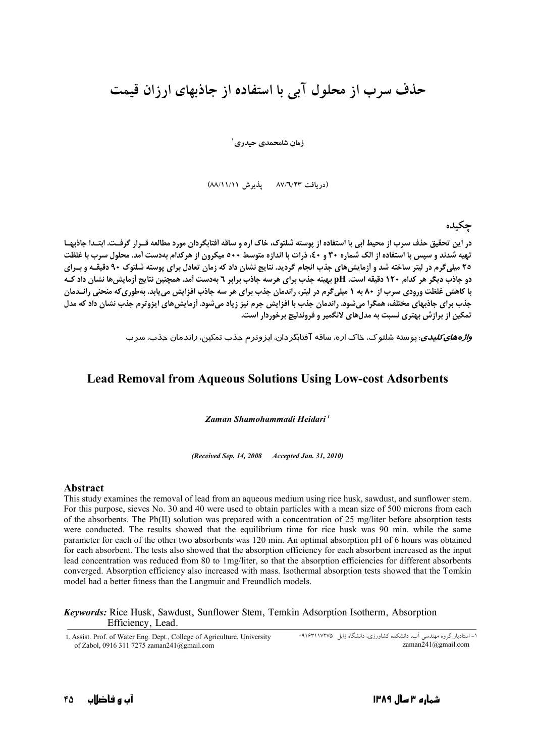# حذف سرب از محلول آبی با استفاده از جاذبهای ارزان قیمت

زمان شامحمدي حيدري '

(دریافت ۸۷/٦/۲۳ یذیرش ۸۸/۱۱/۱۱)

## حكىدە

در این تحقیق حذف سرب از محیط آبی با استفاده از پوسته شلتوک، خاک اره و ساقه اَفتابگردان مورد مطالعه قـرار گرفـت. ابتـدا جاذبهـا تهیه شدند و سپس با استفاده از الک شماره ۳۰ و ٤٠، ذرات با اندازه متوسط ٥٠٠ میکرون از هرکدام بهدست آمد. محلول سرب با غلظت ۲۵ میلیگرم در لیتر ساخته شد و آزمایش های جذب انجام گردید. نتایج نشان داد که زمان تعادل برای پوسته شلتوک ۹۰ دقیقـه و بـرای دو جاذب دیگر هر کدام ۱۲۰ دقیقه است. pH بهینه جذب برای هرسه جاذب برابر ۲ بهدست آمد. همچنین نتایج آزمایش ها نشان داد ک با کاهش غلظت ورودی سرب از ۸۰ به ۱ میلی گرم در لیتر، راندمان جذب برای هر سه جاذب افزایش می یابد. بهطوری که منحنی رانـدمان جذب برای جاذبهای مختلف، همگرا می شود. راندمان جذب با افزایش جرم نیز زیاد می شود. اَزمایش های ایزوترم جذب نشان داد که مدل تمکين از برازش پهتري نسبت به مدلهاي لانگمير و فروندليچ برخوردار است.

و*اژههای کلیدی*: یوسته شلتو ک، خاک اره، ساقه آفتابگردان، ایزوترم جذب تمکین، *ر*اندمان جذب، سرب

### **Lead Removal from Aqueous Solutions Using Low-cost Adsorbents**

Zaman Shamohammadi Heidari<sup>1</sup>

(Received Sep. 14, 2008 Accepted Jan. 31, 2010)

#### **Abstract**

This study examines the removal of lead from an aqueous medium using rice husk, sawdust, and sunflower stem. For this purpose, sieves No. 30 and 40 were used to obtain particles with a mean size of 500 microns from each of the absorbents. The Pb(II) solution was prepared with a concentration of 25 mg/liter before absorption tests were conducted. The results showed that the equilibrium time for rice husk was 90 min. while the same parameter for each of the other two absorbents was 120 min. An optimal absorption pH of 6 hours was obtained for each absorbent. The tests also showed that the absorption efficiency for each absorbent increased as the input lead concentration was reduced from 80 to 1mg/liter, so that the absorption efficiencies for different absorbents converged. Absorption efficiency also increased with mass. Isothermal absorption tests showed that the Tomkin model had a better fitness than the Langmuir and Freundlich models.

#### Keywords: Rice Husk, Sawdust, Sunflower Stem, Temkin Adsorption Isotherm, Absorption Efficiency, Lead.

1. Assist. Prof. of Water Eng. Dept., College of Agriculture, University of Zabol, 0916 311 7275 zaman241@gmail.com

۱– استادیار گروه مهندسی آب، دانشکده کشاورزی، دانشگاه زابل ۱۷۲۷۵\*۱۹۱۶ zaman241@gmail.com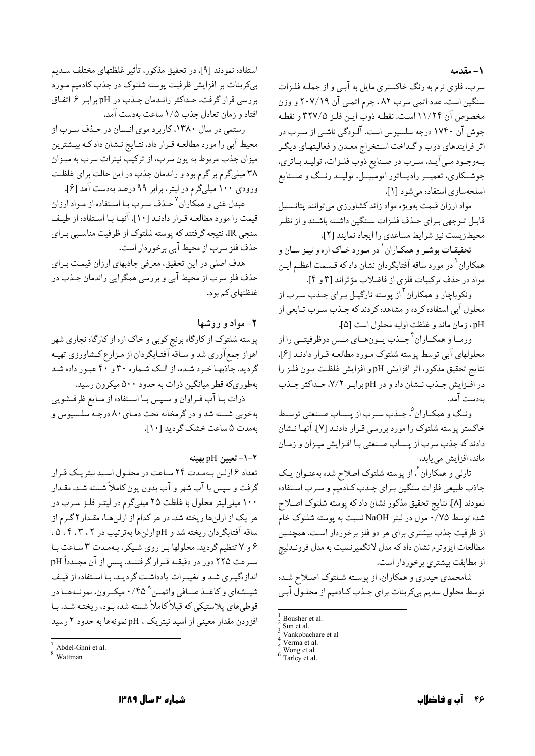١- مقدمه

سرب، فلزی نرم به رنگ خاکستری مایل به آببی و از جملـه فلـزات سنگین است. عدد اتمی سرب ۸۲ ، جرم اتمـی آن ۲۰۷/۱۹ و وزن مخصوص آن ۱۱/۲۴ است. نقطـه ذوب ايـن فلـز ۳۲۷/۵ و نقطـه جوش آن ۱۷۴۰ درجه سلسیوس است. آلـودگی ناشـی از سـرب در اثر فرایندهای ذوب و گـداخت اسـتخراج معـدن و فعالیتهـای دیگـر بهوجـود مـي آيـد. سـرب در صـنايع ذوب فلـزات، توليـد بـاتري، جوشـکاري، تعميــر راديــاتور اتومبيــل، توليــد رنــگ و صــنايع اسلحهسازي استفاده مي شود [١].

مواد ارزان قیمت بهویژه مواد زائد کشاورزی میتوانند پتانـسیل قابل تـوجهي بـراي حـذف فلـزات سـنگين داشـته باشـند و از نظـر محيطزيست نيز شرايط مساعدي را ايجاد نمايند [٢].

تحقیقـات بوشـر و همکـاران <sup>۱</sup> در مـورد خـاک اره و نیـز سـان و همکاران<sup>۲</sup> در مورد ساقه آفتابگردان نشان داد که قـسمت اعظـم ايـن مواد در حذف تركيبات فلزي از فاضلاب مؤثراند [٣ و ٤].

ونکوباچار و همکاران <sup>۳</sup>از پوسته نارگیـل بـرای جـذب سـرب از محلول آبی استفاده کرده و مشاهده کردند که جـذب سـرب تـابعی از pH . زمان ماند و غلظت اوليه محلول است [۵].

ورمبا و همکباران<sup>۴</sup> حیذب سون هیای میس دوظرفیتی را از محلولهای آبی توسط پوسته شلتوک مـورد مطالعـه قـرار دادنـد [۶]. نتايج تحقيق مذكور، اثر افزايش pH و افزايش غلظت يـون فلـز را در افزایش جهذب نهان داد و در pH برابر ۷/۲، حداکثر جهذب بەدست آمد.

ونـگ و همكـاران °، جـذب سـرب از پـساب صـنعتي توسـط خاکستر پوسته شلتوک را مورد بررسی قـرار دادنـد [۷]. آنهـا نـشان دادند که جذب سرب از پـساب صـنعتي بـا افـزايش ميـزان و زمـان ماند، افزایش میبابد.

تارلی و همکاران ٔ، از پوسته شلتوک اصلاح شده بهعنـوان یـک جاذب طبيعي فلزات سنگين بـراي جـذب كـادمّيم و سـرب اسـتفاده نمودند [٨]. نتايج تحقيق مذكور نشان دادكه پوسته شلتوك اصلاح شده توسط ۰/۷۵ مول در لیتر NaOH نسبت به پوسته شلتوک خام از ظرفیت جذب بیشتری برای هر دو فلز برخوردار است. همچنـین مطالعات ايزوترم نشان دادكه مدل لانگميرنسبت به مدل فرونـدليج از مطابقت بیشتری برخوردار است.

شامحمدي حيدري و همكاران، از يوسـته شـلتوک اصـلاح شـده توسط محلول سدیم بیکربنات برای جـذب کـادمیم از محلـول آبـی

استفاده نمودند [۹]. در تحقیق مذکور، تأثیر غلظتهای مختلف سـدیم بپرکربنات بر افزایش ظرفیت پوسته شلتوک در جذب کادمیم مـورد بررسي قرار گرفت. حـداكثر رانـدمان جـذب در pH برابـر ۶ اتفـاق افتاد و زمان تعادل جذب ١/٥ ساعت بهدست آمد.

رستمی در سال ۱۳۸۰، کاربرد موی انـسان در حـذف سـرب از محیط آبی را مورد مطالعـه قـرار داد. نتـایج نـشان داد کـه بیـشترین میزان جذب مربوط به یون سرب، از ترکیب نیترات سرب به میـزان ۳۸ میلیگرم بر گرم بود و راندمان جذب در این حالت برای غلظت ورودی ۱۰۰ میلیگرم در لیتر، برابر ۹۹ درصد بهدست آمد [۶].

عبدل غنی و همکاران<sup>۷</sup> حـذف سـرب بـا اسـتفاده از مـواد ارزان قیمت را مورد مطالعه قرار دادنـد [۱۰]. آنهـا بـا اسـتفاده از طيـف سنجي IR، نتيجه گرفتند كه پوسته شلتوك از ظرفيت مناسببي بـراي حذف فلز سرب از محیط آبی برخوردار است.

هدف اصلی در این تحقیق، معرفی جاذبهای ارزان قیمت بـرای حذف فلز سرب از محیط آبی و بررسی همگرایی راندمان جـذب در غلظتهای کم بود.

# ۲- مواد و روشها

پوسته شلتوک از کارگاه برنج کوبی و خاک اره از کارگاه نجاری شهر اهواز جمع آوري شد و سـاقه آفتـابگردان از مـزارع كـشاورزي تهيـه گردید. جاّذبهـا خـرد شـده، از الـک شـماره ۳۰ و ۴۰ عبـور داده شـد بهطوريكه قطر ميانگين ذرات به حدود ۵۰۰ ميكرون رسيد.

ذرات بــا آب فــراوان و ســيس بــا اســتفاده از مــايع ظرفــشويي بهخوبی شسته شد و در گرمخانه تحت دمـاي ۸۰ درجـه سلـسيوس و ىەمدت ۵ ساعت خشك گرديد [۱۰].

# ٢-١- تعيين pH بهينه

تعداد ۶ ارلین بهمدت ۲۴ ساعت در محلول اسید نیتریک قرار گرفت و سیس با آب شهر و آب بدون یون کاملاً شسته شـد. مقـدار ۱۰۰ میلی لیتر محلول با غلظت ۲۵ میلیگرم در لیتـر فلـز سـرب در هر یک از ارلنها ریخته شد. در هر کدام از ارلنها، مقـدار ۲ گـرم از ساقه آفتابگردان ریخته شد و pH ارلنها بهترتیب در ۰۴،۳،۲ .۵ ۶ و ۷ تنظیم گردید. محلولها بر روی شیکر، بهمدت ۳ ساعت با سرعت ٢٢٥ دور در دقيقــه قــرار گرفتنــد. پــس از آن مجــدداً pH اندازهگیری شد و تغییرات یادداشت گردیـد. بـا اسـتفاده از قیـف شیمهای و کاغـذ صـافی واتمــن^ ۰/۴۵ میکـرون، نمونــههــا در قوطی های پلاستیکی که قبلاً کاملاً شسته شده بـود، ریختـه شـد. بـا افزودن مقدار معینی از اسید نیتریک ، pHنمونهها به حدود ۲ رسید

Bousher et al.

Sun et al .<br>Vankobachare et al

Verma et al.

Wong et al.

Tarley et al.

Abdel-Ghni et al.

 $W_0$ ttmon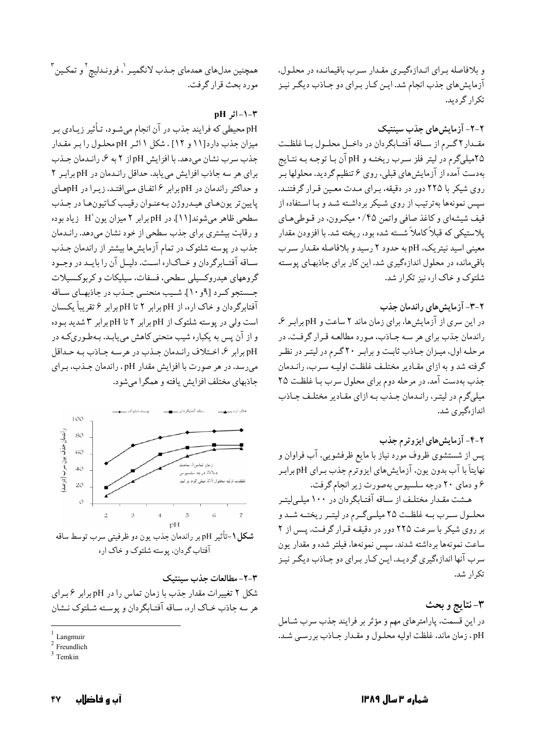و بلافاصله برای انـدازهگیـری مقـدار سـرب باقیمانـده در محلـول، آزمایش های جذب انجام شد. ایـن کـار بـرای دو جـاذب دیگـر نیـز تکرار گردید.

۲-۲- آزمایش های جذب سینتیک مقـدار ۲ گـرم از سـاقه آفتـابگردان در داخـل محلـول بـا غلظـت ۲۵میلیگرم در لیتر فلز سـرب ریختـه و pH آن بـا توجـه بـه نتـایج بهدست آمده از آزمایش های قبلی، روی ۶ تنظیم گردید. محلولها بر روی شیکر با ۲۲۵ دور در دقیقه، بـرای مـدت معـین قـرار گرفتنـد. سیس نمونهها بهترتیب از روی شیکر برداشته شد و بـا اسـتفاده از قیف شیشهای و کاغذ صافی واتمن ۰/۴۵ میکرون، در قـوطیهـای يلاستيكي كه قبلاً كاملاً شسته شده بود، ريخته شد. با افزودن مقدار معینی اسید نیتریک، pH به حدود ۲ رسید و بلافاصله مقدار سـرب باقی مانده در محلول اندازهگیری شد. این کار برای جاذبهای پوسته شلتوک و خاک اره نیز تکرار شد.

# ٢-٣- آزمایش های راندمان جذب

در این سری از آزمایش ها، برای زمان ماند ۲ ساعت و pH برابر ۶، راندمان جذب برای هر سه جـاذب، مـورد مطالعـه قـرار گرفـت. در مرحله اول، میزان جاذب ثابت و برابر ٢٠ گرم در لیتر در نظر گرفته شد و به ازای مقـادیر مختلـف غلظـت اولیـه سـرب، رانـدمان جذب بهدست آمد. در مرحله دوم برای محلول سرب با غلظت ٢٥ میلیگرم در لیتـر، رانـدمان جـذب بـه ازای مقـادیر مختلـف جـاذب انداز ،گیر ی شد.

# ۲-۴- آزمایش های ایزوترم جذب

پس از شستشوی ظروف مورد نیاز با مایع ظرفشویی، آب فراوان و نهايتاً با آب بدون يون، آزمايش هاي ايزوترم جذب بـراي pH برابـر ۶ و دمای ۲۰ درجه سلسیوس بهصورت زیر انجام گرفت.

هـشت مقـدار مختلـف از سـاقه آفتـابگردان در ۱۰۰ میلـی|یتـر محلـول سـرب بـه غلظـت ٢٥ ميلـيگـرم در ليتـر ريختــه شــد و بر روی شیکر با سرعت ٢٢٥ دور در دقیقه قرار گرفت. پس از ٢ ساعت نمونهها برداشته شدند. سيس نمونهها، فيلتر شده و مقدار يون سرب آنها اندازهگیری گردیـد. ایـن کـار بـرای دو جـاذب دیگـر نیـز تکرار شد.

٣-نتايج و بحث در این قسمت، پارامترهای مهم و مؤثر بر فرایند جذب سرب شـامل pH، زمان ماند، غلظت اوليه محلـول و مقـدار جـاذب بررسـي شـد.

همچنین مدلهای همدمای جـذب لانگمیـر <sup>'</sup>، فرونـدلیچ <sup>۲</sup>و تمکـین <sup>۳</sup> مورد بحث قرار گرفت.

### $pH_1$ اثر $-1$

pH محیطی که فرایند جذب در آن انجام میشـود، تـأثیر زیـادی بـر میزان جذب دارد[۱۱ و ۱۲] . شکل ۱ اثـر pH محلـول را بـر مقـدار جذب سرب نشان میدهد. با افزایش pHاز ۲ به ۶، راندمان جـذب برای هر سه جاذب افزایش می یابد. حداقل راندمان در pH برابر ٢ و حداکثر راندمان در pH برابر ۶ اتفاق میافتد. زیرا در pHهای يايين تر يون هاي هيدروژن به عنوان رقيب كاتيون ها در جـذب سطحی ظاهر میشوند[۱۱]. در pH برابر ۲ میزان یون +H زیاد بوده و رقابت بیشتری برای جذب سطحی از خود نشان می دهد. رانـدمان جذب در پوسته شلتوک در تمام آزمایشها بیشتر از راندمان جـذب سـاقه آفتـابرگردان و خـاکاره اسـت. دليـل آن را بايـد در وجـود گروههای هیدروکسیلی سطحی، فسفات، سیلیکات و کربوکسیلات جسستجو کرد [۹و ۱۰]. شبیب منحنبی جنذب در جاذبهبای سیاقه آفتابرگردان و خاک اره، از pH برابر ۲ تا pH برابر ۶ تقریباً یکسان است ولی در پوسته شلتوک از pH برابر ۲ تا pH برابر ۳ شدید بوده و از آن پس به یکباره شیب منحنی کاهش می یابـد. بـهطـوریکـه در pH برابر ۶، اختلاف راندمان جـذب در هرسـه جـاذب بـه حـداقل میرسد. در هر صورت با افزایش مقدار pH، راندمان جـذب، بـرای جاذبهای مختلف افزایش یافته و همگرا می شود.



٣-٢- مطالعات جذب سينتبك شکل ۲ تغییرات مقدار جذب با زمان تماس را در pH برابر ۶ برای هر سه جاذب خباک اره، سباقه آفتباگردان و پوسته شبلتوک نـشان

Langmuir

<sup>&</sup>lt;sup>2</sup> Freundlich

Temkin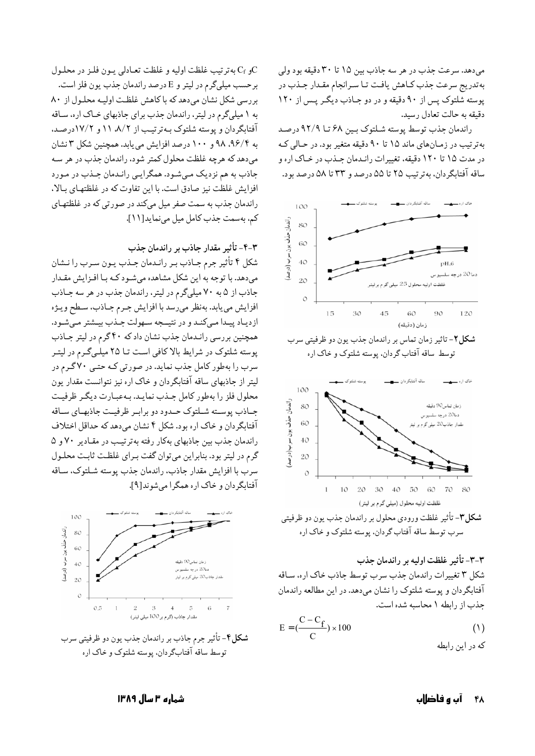میدهد. سرعت جذب در هر سه جاذب بین ۱۵ تا ۳۰ دقیقه بود ولی بهتدریج سرعت جذب کـاهش یافـت تـا سـرانجام مقـدار جـذب در پوسته شلتوک پس از ۹۰ دقیقه و در دو جاذب دیگر پس از ۱۲۰ دقيقه به حالت تعادل رسيد.

راندمان جذب توسط پوسته شلتوک بين ۶۸ تا ۹۲/۹ درصد بهترتیب در زمـانهای ماند ۱۵ تا ۹۰ دقیقه متغیر بود. در حـالی کـه در مدت ۱۵ تا ۱۲۰ دقیقه، تغییرات رانـدمان جـذب در خـاک اره و ساقه آفتابگردان، بهترتیب ۲۵ تا ۵۵ درصد و ۳۳ تا ۵۸ درصد بود.



**شکل ۲**-تاثیر زمان تماس بر راندمان جذب یون دو ظرفیتی سرب توسط ساقه آفتاب گردان، پوسته شلتوک و خاک اره



سرب توسط ساقه آفتاب گردان. پوسته شلتوک و خاک اره

٣-٣- تأثير غلظت اوليه بر راندمان جذب شکل ۳ تغییرات راندمان جذب سرب توسط جاذب خاک اره، سـاقه آفتابگردان و پوسته شلتوک را نشان میدهد. در این مطالعه راندمان حذب از رابطه ۱ محاسبه شده است.

$$
E = \left(\frac{C - C_f}{C}\right) \times 100
$$
 (1)

و C<sub>f</sub> به ترتيب غلظت اوليه و غلظت تعـادلي يـون فلـز در محلـول $\rm C$ برحسب ميلي گرم در ليتر و E درصد راندمان جذب يون فلز است. بررسی شکل نشان میدهد که با کاهش غلظت اولیـه محلـول از ٨٠ به ۱ میلیگرم در لیتر، راندمان جذب برای جاذبهای خباک اره، سیاقه آفتابگردان و پوسته شلتوک به ترتیب از ۸/۲، ۱۱ و ۱۷/۲درصد. به ۹۶/۴، ۹۸ و ۱۰۰ درصد افزایش می یابد. همچنین شکل ۳ نشان مي دهد كه هرچه غلظت محلول كمتر شود، راندمان جذب در هر سـه جاذب به هم نزدیک مبی شود. همگرایبی رانـدمان جـذب در مـورد افزایش غلظت نیز صادق است. با این تفاوت که در غلظتهای بـالا، راندمان جذب به سمت صفر میل میکند در صورتی که در غلظتهای كم، بهسمت جذب كامل ميل مى نمايد[١١].

#### ۴-۳- تأثیر مقدار جاذب بر راندمان جذب

شکل ۴ تأثیر جرم جـاذب بـر رانـدمان جـذب يـون سـرب را نـشان میدهد. با توجه به این شکل مشاهده میشود کـه بـا افـزایش مقـدار جاذب از ۵ به ۷۰ میلیگرم در لیتر، راندمان جذب در هر سه جاذب افزايش مي يابد. بهنظر مي رسد با افزايش جرم جـاذب، سـطح ويـژه ازدياد پيدا مي كند و در نتيــجه سـهولت جـذب بيـشتر مـىشـود. همچنین بررسی رانـدمان جذب نشان داد که ۴۰ گرم در لیتر جـاذب پوسته شلتوک در شرایط بالا کافی است تـا ۲۵ میلـیگـرم در لیتـر سرب را بهطور کامل جذب نماید. در صورتی کـه حتـی ۷۰گـرم در لیتر از جاذبهای ساقه آفتابگردان و خاک اره نیز نتوانست مقدار یون محلول فلز را بهطور كامل جـذب نمايـد. بـهعبـارت ديگـر ظرفيـت جـاذب پوسـته شـلتوک حـدود دو برابـر ظرفيـت جاذبهـاي سـاقه آفتابگردان و خاک اره بود. شکل ۴ نشان میدهد که حداقل اختلاف راندمان جذب بین جاذبهای بهکار رفته بهترتیب در مقادیر ۷۰ و ۵ گرم در ليتر بود. بنابراين مي توان گفت بـراي غلظـت ثابـت محلـول سرب با افزایش مقدار جاذب، راندمان جذب یوسته شـلتوک، سـاقه آفتابگر دان و خاک اره همگرا می شو ند[۹].



شکل۴- تأثیر جرم جاذب بر راندمان جذب یون دو ظرفیتی سرب توسط ساقه آفتابگردان. پوسته شلتوک و خاک اره

۴۸ - آب و فاضلاب

شماره ۳ سال ۱۳۸۹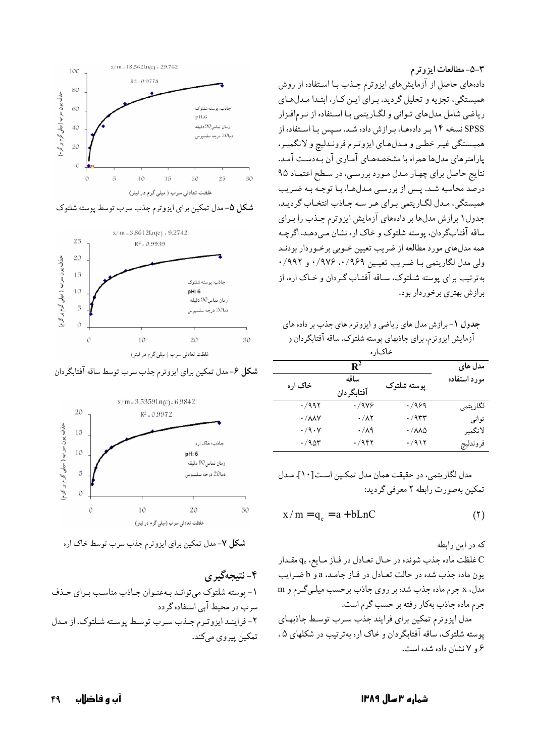٣-٥- مطالعات ايزوترم دادههای حاصل از آزمایشهای ایزوترم جـذب بـا اسـتفاده از روش همبستگی، تجزیه و تحلیل گردید. برای ایـن کـار، ابتـدا مـدلهـای ریاضی شامل مدل های تـوانی و لگـاریتمی بـا اسـتفاده از نـرمافـزار SPSS نسخه ۱۴ بر دادههـا، بـرازش داده شـد. سـپس بـا اسـتفاده از همبستگي غيـر خطـي و مـدلهـاي ايزوتـرم فرونـدليچ و لانگميـر، پارامترهای مدلها همراه با مشخصههـای آمـاری آن بـهدسـت آمـد. نتايج حاصل براي چهـار مـدل مـورد بررسـي، در سـطح اعتمـاد ۹۵ درصد محاسبه شـد. پـس از بررسـي مـدلهـا، بـا توجـه بـه ضـريب همبستگي، مـدل لگـاريتمي بـراي هـر سـه جـاذب انتخـاب گرديـد. جدول ۱ برازش مدلها بر دادههای آزمایش ایزوترم جـذب را بـرای ساقه آفتابگردان، پوسته شلتوک و خاک اره نشان مبیدهد. اگرچـه همه مدلهای مورد مطالعه از ضریب تعیین خـوبی برخـوردار بودنـد ولي مدل لگاريتمي بــا ضـريب تعيــين ٠/٩۶٩، ٠/٩٧۶، و ٩٩٢/٠ بهترتیب برای پوسته شـلتوک، سـاقه آفتـاب گـردان و خـاک اره، از برازش بهتری برخوردار بود.

جدول ١- برازش مدل های ریاضی و ایزوترم های جذب بر داده های آزمایش ایزوترم، برای جاذبهای پوسته شلتوک، ساقه آفتابگردان و

| حات اد ه                    |                   |                                  |              |
|-----------------------------|-------------------|----------------------------------|--------------|
|                             | $\mathbf{R}^2$    |                                  | مدل های      |
| خاک اره                     | ساقه              | پوسته شلتوک                      | مورد استفاده |
|                             | آفتابگر دان       |                                  |              |
| $\cdot$ /99۲                | $\cdot$ /978      | $\cdot$ /989                     | لگاريتمي     |
| $\cdot / \lambda \lambda V$ | $\cdot/\lambda$ ۲ | $\cdot$ /955                     | توانى        |
| $\cdot$ /9 $\cdot$ Y        | $\cdot/\lambda$ ۹ | $\cdot / \lambda \lambda \Delta$ | لانگمير      |
| $\cdot$ /90۳                | ۰/۹۴۲             | ۰/۹۱۲                            | فروندليچ     |

مدل لگاریتمی، در حقیقت همان مدل تمکـین اسـت[۱۰]. مـدل تمکین بهصورت رابطه ۲ معرفی گردید:

$$
x/m = q_e = a + bLnC
$$
 (7)

که در این رابطه

ناغطت ماده جذب شونده در حـال تعـادل در فـاز مـايع، q. مقـدار C يون ماده جذب شده در حالت تعـادل در فـاز جامـد، a و b ضـرايب مدل، x جرم ماده جذب شده بر روى جاذب برحسب ميلـيگـرم و m جرم ماده جاذب بهكار رفته بر حسب گرم است.

مدل ایزوترم تمکین برای فرایند جذب سرب توسط جاذبهای پوسته شلتوک، ساقه آفتابگردان و خاک اره بهترتیب در شکلهای ۵، ۶ و ۷ نشان داده شده است.



شکل ۵-مدل تمکین برای ایزوترم جذب سرب توسط پوسته شلتوک



**شکل ۶**-مدل تمکین برای ایزوترم جذب سرب توسط ساقه آفتابگردان



شکل ۷-مدل تمکین برای ایزوترم جذب سرب توسط خاک اره

۴-نتىجەگىرى ۱- پوسته شلتوک میتوانـد بـهعنـوان جـاذب مناسـب بـراي حـذف سرب در محیط آبی استفاده گر دد ۲-فرایند ایزوترم جنذب سرب توسط پوسته شلتوک، از مدل تمکين پيروي مي کند.

شماره ۳ سال ۱۳۸۹